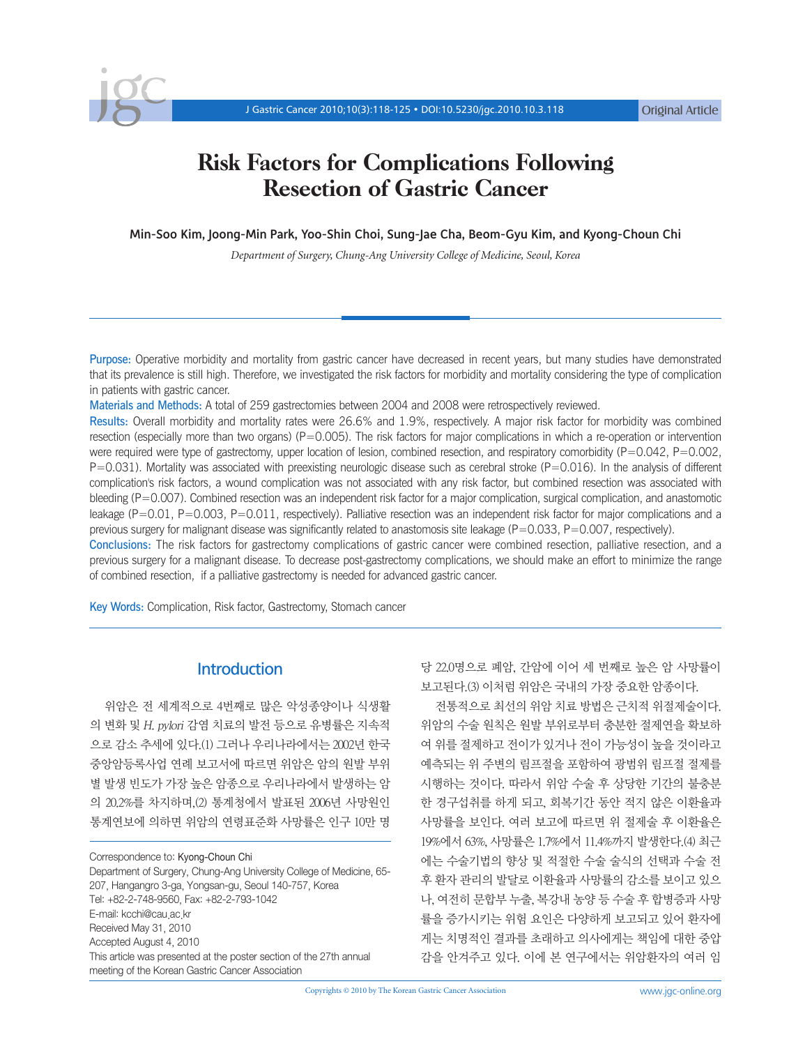

# Risk Factors for Complications Following Resection of Gastric Cancer

Min-Soo Kim, Joong-Min Park, Yoo-Shin Choi, Sung-Jae Cha, Beom-Gyu Kim, and Kyong-Choun Chi

*Department of Surgery, Chung-Ang University College of Medicine, Seoul, Korea*

Purpose: Operative morbidity and mortality from gastric cancer have decreased in recent years, but many studies have demonstrated that its prevalence is still high. Therefore, we investigated the risk factors for morbidity and mortality considering the type of complication in patients with gastric cancer.

Materials and Methods: A total of 259 gastrectomies between 2004 and 2008 were retrospectively reviewed.

Results: Overall morbidity and mortality rates were 26.6% and 1.9%, respectively. A major risk factor for morbidity was combined resection (especially more than two organs) (P=0.005). The risk factors for major complications in which a re-operation or intervention were required were type of gastrectomy, upper location of lesion, combined resection, and respiratory comorbidity ( $P=0.042$ ,  $P=0.002$ , P=0.031). Mortality was associated with preexisting neurologic disease such as cerebral stroke (P=0.016). In the analysis of different complication's risk factors, a wound complication was not associated with any risk factor, but combined resection was associated with bleeding (P=0.007). Combined resection was an independent risk factor for a major complication, surgical complication, and anastomotic leakage (P=0.01, P=0.003, P=0.011, respectively). Palliative resection was an independent risk factor for major complications and a previous surgery for malignant disease was significantly related to anastomosis site leakage ( $P=0.033$ ,  $P=0.007$ , respectively). Conclusions: The risk factors for gastrectomy complications of gastric cancer were combined resection, palliative resection, and a previous surgery for a malignant disease. To decrease post-gastrectomy complications, we should make an effort to minimize the range of combined resection, if a palliative gastrectomy is needed for advanced gastric cancer.

Key Words: Complication, Risk factor, Gastrectomy, Stomach cancer

# **Introduction**

위암은 전 세계적으로 4번째로 많은 악성종양이나 식생활 의 변화 및 H. pylori 감염 치료의 발전 등으로 유병률은 지속적 으로 감소 추세에 있다.(1) 그러나 우리나라에서는 2002년 한국 중앙암등록사업 연례 보고서에 따르면 위암은 암의 원발 부위 별 발생 빈도가 가장 높은 암종으로 우리나라에서 발생하는 암 의 20.2%를 차지하며,(2) 통계청에서 발표된 2006년 사망원인 통계연보에 의하면 위암의 연령표준화 사망률은 인구 10만 명

Correspondence to: Kyong-Choun Chi

Department of Surgery, Chung-Ang University College of Medicine, 65- 207, Hangangro 3-ga, Yongsan-gu, Seoul 140-757, Korea Tel: +82-2-748-9560, Fax: +82-2-793-1042 E-mail: kcchi@cau.ac.kr Received May 31, 2010 Accepted August 4, 2010 This article was presented at the poster section of the 27th annual meeting of the Korean Gastric Cancer Association

당 22.0명으로 폐암, 간암에 이어 세 번째로 높은 암 사망률이 보고된다.(3) 이처럼 위암은 국내의 가장 중요한 암종이다.

전통적으로 최선의 위암 치료 방법은 근치적 위절제술이다. 위암의 수술 원칙은 원발 부위로부터 충분한 절제연을 확보하 여 위를 절제하고 전이가 있거나 전이 가능성이 높을 것이라고 예측되는 위 주변의 림프절을 포함하여 광범위 림프절 절제를 시행하는 것이다. 따라서 위암 수술 후 상당한 기간의 불충분 한 경구섭취를 하게 되고, 회복기간 동안 적지 않은 이환율과 사망률을 보인다. 여러 보고에 따르면 위 절제술 후 이환율은 19%에서 63%, 사망률은 1.7%에서 11.4%까지 발생한다.(4) 최근 에는 수술기법의 향상 및 적절한 수술 술식의 선택과 수술 전 후 환자 관리의 발달로 이환율과 사망률의 감소를 보이고 있으 나, 여전히 문합부 누출, 복강내 농양 등 수술 후 합병증과 사망 률을 증가시키는 위험 요인은 다양하게 보고되고 있어 환자에 게는 치명적인 결과를 초래하고 의사에게는 책임에 대한 중압 감을 안겨주고 있다. 이에 본 연구에서는 위암환자의 여러 임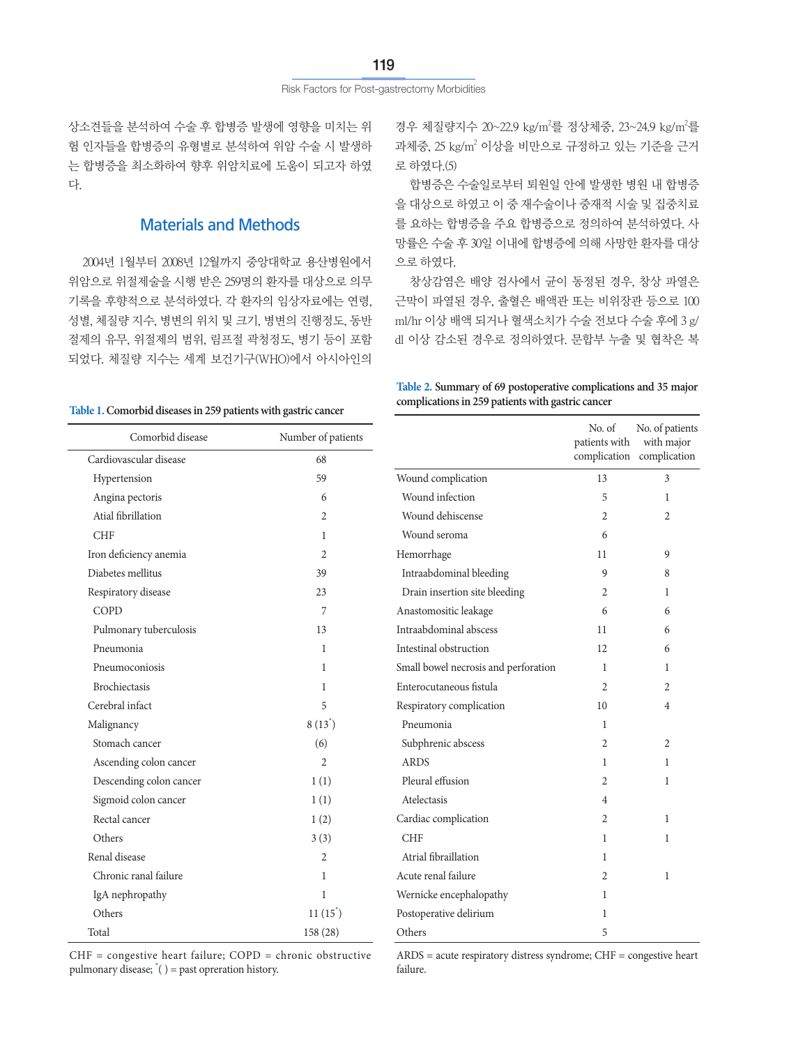상소견들을 분석하여 수술 후 합병증 발생에 영향을 미치는 위 험 인자들을 합병증의 유형별로 분석하여 위암 수술 시 발생하 는 합병증을 최소화하여 향후 위암치료에 도움이 되고자 하였 다.

# Materials and Methods

2004년 1월부터 2008년 12월까지 중앙대학교 용산병원에서 위암으로 위절제술을 시행 받은 259명의 환자를 대상으로 의무 기록을 후향적으로 분석하였다. 각 환자의 임상자료에는 연령, 성별, 체질량 지수, 병변의 위치 및 크기, 병변의 진행정도, 동반 절제의 유무, 위절제의 범위, 림프절 곽청정도, 병기 등이 포함 되었다. 체질량 지수는 세계 보건기구(WHO)에서 아시아인의

경우 체질량지수 20~22.9 kg/m<sup>2</sup>를 정상체중, 23~24.9 kg/m<sup>2</sup>를 과체중, 25 kg/m<sup>2</sup> 이상을 비만으로 규정하고 있는 기준을 근거 로 하였다.(5)

합병증은 수술일로부터 퇴원일 안에 발생한 병원 내 합병증 을 대상으로 하였고 이 중 재수술이나 중재적 시술 및 집중치료 를 요하는 합병증을 주요 합병증으로 정의하여 분석하였다. 사 망률은 수술 후 30일 이내에 합병증에 의해 사망한 환자를 대상 으로 하였다.

창상감염은 배양 검사에서 균이 동정된 경우, 창상 파열은 근막이 파열된 경우, 출혈은 배액관 또는 비위장관 등으로 100 ml/hr 이상 배액 되거나 혈색소치가 수술 전보다 수술 후에 3 g/ dl 이상 감소된 경우로 정의하였다. 문합부 누출 및 협착은 복

#### **Table 1. Comorbid diseases in 259 patients with gastric cancer**

**Table 2. Summary of 69 postoperative complications and 35 major complications in 259 patients with gastric cancer**

Wound complication 13 3 Wound infection 5 1 Wound dehiscense 2 2 2

Hemorrhage 11 9 Intraabdominal bleeding 9 8 Drain insertion site bleeding 2 1 Anastomositic leakage 6 6 Intraabdominal abscess and the set of the set of the set of the set of the set of the set of the set of the set of the set of the set of the set of the set of the set of the set of the set of the set of the set of the set Intestinal obstruction 12 6 Small bowel necrosis and perforation 1 1

Wound seroma 6

No. of patients with complication

No. of patients with major complication

| Comorbid disease        | Number of patients |
|-------------------------|--------------------|
| Cardiovascular disease  | 68                 |
| Hypertension            | 59                 |
| Angina pectoris         | 6                  |
| Atial fibrillation      | $\overline{2}$     |
| <b>CHF</b>              | 1                  |
| Iron deficiency anemia  | $\overline{c}$     |
| Diabetes mellitus       | 39                 |
| Respiratory disease     | 23                 |
| COPD                    | 7                  |
| Pulmonary tuberculosis  | 13                 |
| Pneumonia               | 1                  |
| Pneumoconiosis          | 1                  |
| <b>Brochiectasis</b>    | 1                  |
| Cerebral infact         | 5                  |
| Malignancy              | $8(13^{\degree})$  |
| Stomach cancer          | (6)                |
| Ascending colon cancer  | $\mathfrak{D}$     |
| Descending colon cancer | 1(1)               |
| Sigmoid colon cancer    | 1(1)               |
| Rectal cancer           | 1(2)               |
| Others                  | 3(3)               |
| Renal disease           | 2                  |
| Chronic ranal failure   | 1                  |
| IgA nephropathy         | 1                  |
| Others                  | 11(15)             |
| Total                   | 158 (28)           |

CHF = congestive heart failure; COPD = chronic obstructive pulmonary disease; **\*** ( ) = past opreration history.

Enterocutaneous fistula 2 2 2 2 Respiratory complication 10 4 Pneumonia 1 Subphrenic abscess 2 2 ARDS 1 1 Pleural effusion 2 1 Atelectasis 4 Cardiac complication 2 1 CHF 1 1 Atrial fibraillation 1 Acute renal failure 2 2 1 Wernicke encephalopathy 1 Postoperative delirium 1 Others 5

ARDS = acute respiratory distress syndrome; CHF = congestive heart failure.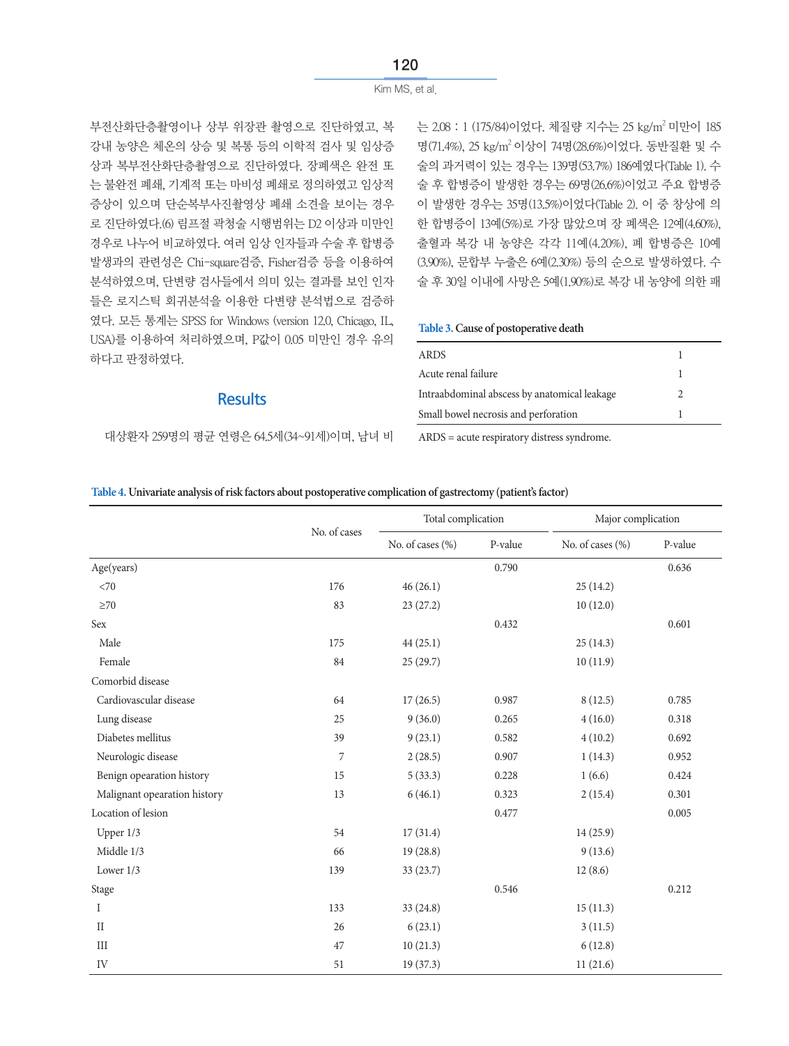부전산화단층촬영이나 상부 위장관 촬영으로 진단하였고, 복 강내 농양은 체온의 상승 및 복통 등의 이학적 검사 및 임상증 상과 복부전산화단층촬영으로 진단하였다. 장폐색은 완전 또 는 불완전 폐쇄, 기계적 또는 마비성 폐쇄로 정의하였고 임상적 증상이 있으며 단순복부사진촬영상 폐쇄 소견을 보이는 경우 로 진단하였다.(6) 림프절 곽청술 시행범위는 D2 이상과 미만인 경우로 나누어 비교하였다. 여러 임상 인자들과 수술 후 합병증 발생과의 관련성은 Chi-square검증, Fisher검증 등을 이용하여 분석하였으며, 단변량 검사들에서 의미 있는 결과를 보인 인자 들은 로지스틱 회귀분석을 이용한 다변량 분석법으로 검증하 였다. 모든 통계는 SPSS for Windows (version 12.0, Chicago, IL, USA)를 이용하여 처리하였으며, P값이 0.05 미만인 경우 유의 하다고 판정하였다.

### **Results**

대상환자 259명의 평균 연령은 64.5세(34~91세)이며, 남녀 비

는 2.08 : 1 (175/84)이었다. 체질량 지수는 25 kg/m<sup>2</sup> 미만이 185 명(71.4%), 25 kg/m2 이상이 74명(28.6%)이었다. 동반질환 및 수 술의 과거력이 있는 경우는 139명(53.7%) 186예였다(Table 1). 수 술 후 합병증이 발생한 경우는 69명(26.6%)이었고 주요 합병증 이 발생한 경우는 35명(13.5%)이었다(Table 2). 이 중 창상에 의 한 합병증이 13예(5%)로 가장 많았으며 장 폐색은 12예(4.60%), 출혈과 복강 내 농양은 각각 11예(4.20%), 폐 합병증은 10예 (3.90%), 문합부 누출은 6예(2.30%) 등의 순으로 발생하였다. 수 술 후 30일 이내에 사망은 5예(1.90%)로 복강 내 농양에 의한 패

**Table 3. Cause of postoperative death**

| <b>ARDS</b>                                  |  |
|----------------------------------------------|--|
| Acute renal failure                          |  |
| Intraabdominal abscess by anatomical leakage |  |
| Small bowel necrosis and perforation         |  |

ARDS = acute respiratory distress syndrome.

|  | Table 4. Univariate analysis of risk factors about postoperative complication of gastrectomy (patient's factor) |  |  |  |
|--|-----------------------------------------------------------------------------------------------------------------|--|--|--|
|  |                                                                                                                 |  |  |  |

|                              |              | Total complication |         | Major complication |         |
|------------------------------|--------------|--------------------|---------|--------------------|---------|
|                              | No. of cases | No. of cases (%)   | P-value | No. of cases (%)   | P-value |
| Age(years)                   |              |                    | 0.790   |                    | 0.636   |
| <70                          | 176          | 46(26.1)           |         | 25(14.2)           |         |
| $\geq 70$                    | 83           | 23(27.2)           |         | 10(12.0)           |         |
| Sex                          |              |                    | 0.432   |                    | 0.601   |
| Male                         | 175          | 44(25.1)           |         | 25(14.3)           |         |
| Female                       | 84           | 25(29.7)           |         | 10(11.9)           |         |
| Comorbid disease             |              |                    |         |                    |         |
| Cardiovascular disease       | 64           | 17(26.5)           | 0.987   | 8(12.5)            | 0.785   |
| Lung disease                 | 25           | 9(36.0)            | 0.265   | 4(16.0)            | 0.318   |
| Diabetes mellitus            | 39           | 9(23.1)            | 0.582   | 4(10.2)            | 0.692   |
| Neurologic disease           | 7            | 2(28.5)            | 0.907   | 1(14.3)            | 0.952   |
| Benign opearation history    | 15           | 5(33.3)            | 0.228   | 1(6.6)             | 0.424   |
| Malignant opearation history | 13           | 6(46.1)            | 0.323   | 2(15.4)            | 0.301   |
| Location of lesion           |              |                    | 0.477   |                    | 0.005   |
| Upper 1/3                    | 54           | 17(31.4)           |         | 14(25.9)           |         |
| Middle 1/3                   | 66           | 19(28.8)           |         | 9(13.6)            |         |
| Lower $1/3$                  | 139          | 33 (23.7)          |         | 12(8.6)            |         |
| Stage                        |              |                    | 0.546   |                    | 0.212   |
| Ι                            | 133          | 33 (24.8)          |         | 15(11.3)           |         |
| $\mathcal{I}$                | 26           | 6(23.1)            |         | 3(11.5)            |         |
| $\rm III$                    | 47           | 10(21.3)           |         | 6(12.8)            |         |
| IV                           | $51\,$       | 19(37.3)           |         | 11(21.6)           |         |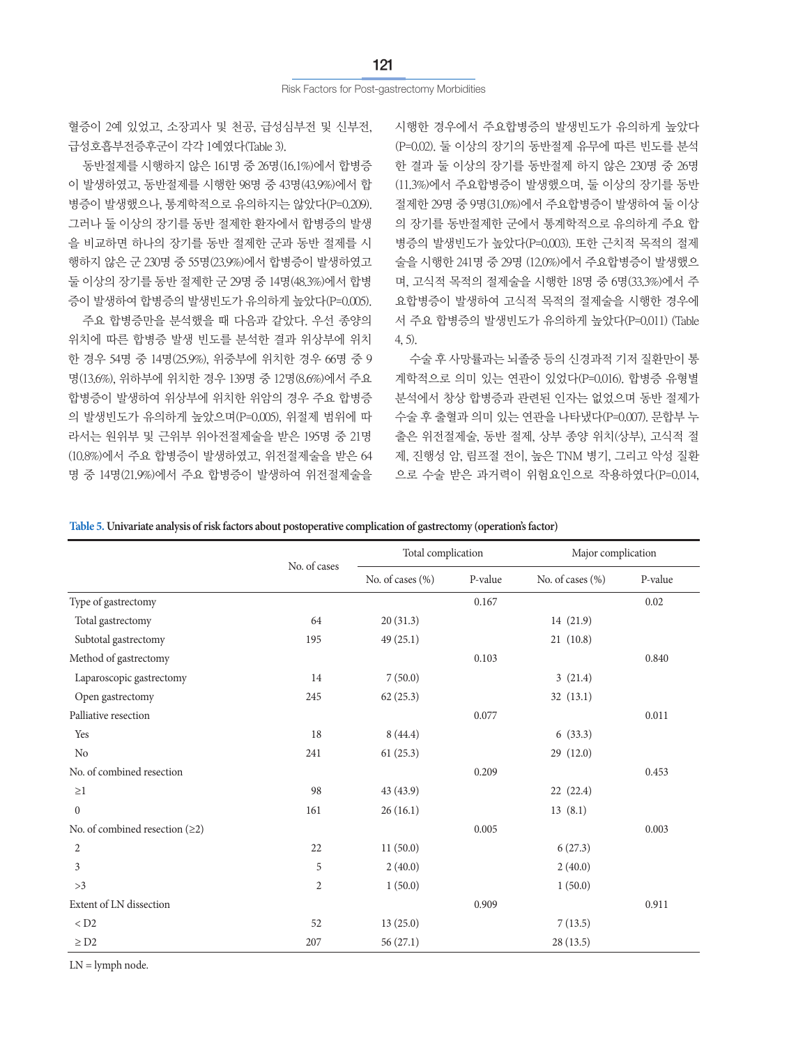혈증이 2예 있었고, 소장괴사 및 천공, 급성심부전 및 신부전, 급성호흡부전증후군이 각각 1예였다(Table 3).

동반절제를 시행하지 않은 161명 중 26명(16.1%)에서 합병증 이 발생하였고, 동반절제를 시행한 98명 중 43명(43.9%)에서 합 병증이 발생했으나, 통계학적으로 유의하지는 않았다(P=0.209). 그러나 둘 이상의 장기를 동반 절제한 환자에서 합병증의 발생 을 비교하면 하나의 장기를 동반 절제한 군과 동반 절제를 시 행하지 않은 군 230명 중 55명(23.9%)에서 합병증이 발생하였고 둘 이상의 장기를 동반 절제한 군 29명 중 14명(48.3%)에서 합병 증이 발생하여 합병증의 발생빈도가 유의하게 높았다(P=0.005).

주요 합병증만을 분석했을 때 다음과 같았다. 우선 종양의 위치에 따른 합병증 발생 빈도를 분석한 결과 위상부에 위치 한 경우 54명 중 14명(25.9%), 위중부에 위치한 경우 66명 중 9 명(13.6%), 위하부에 위치한 경우 139명 중 12명(8.6%)에서 주요 합병증이 발생하여 위상부에 위치한 위암의 경우 주요 합병증 의 발생빈도가 유의하게 높았으며(P=0.005), 위절제 범위에 따 라서는 원위부 및 근위부 위아전절제술을 받은 195명 중 21명 (10.8%)에서 주요 합병증이 발생하였고, 위전절제술을 받은 64 명 중 14명(21.9%)에서 주요 합병증이 발생하여 위전절제술을

시행한 경우에서 주요합병증의 발생빈도가 유의하게 높았다 (P=0.02). 둘 이상의 장기의 동반절제 유무에 따른 빈도를 분석 한 결과 둘 이상의 장기를 동반절제 하지 않은 230명 중 26명 (11.3%)에서 주요합병증이 발생했으며, 둘 이상의 장기를 동반 절제한 29명 중 9명(31.0%)에서 주요합병증이 발생하여 둘 이상 의 장기를 동반절제한 군에서 통계학적으로 유의하게 주요 합 병증의 발생빈도가 높았다(P=0.003). 또한 근치적 목적의 절제 술을 시행한 241명 중 29명 (12.0%)에서 주요합병증이 발생했으 며, 고식적 목적의 절제술을 시행한 18명 중 6명(33.3%)에서 주 요합병증이 발생하여 고식적 목적의 절제술을 시행한 경우에 서 주요 합병증의 발생빈도가 유의하게 높았다(P=0.011) (Table 4, 5).

수술 후 사망률과는 뇌졸중 등의 신경과적 기저 질환만이 통 계학적으로 의미 있는 연관이 있었다(P=0.016). 합병증 유형별 분석에서 창상 합병증과 관련된 인자는 없었으며 동반 절제가 수술 후 출혈과 의미 있는 연관을 나타냈다(P=0.007). 문합부 누 출은 위전절제술, 동반 절제, 상부 종양 위치(상부), 고식적 절 제, 진행성 암, 림프절 전이, 높은 TNM 병기, 그리고 악성 질환 으로 수술 받은 과거력이 위험요인으로 작용하였다(P=0.014,

**Table 5. Univariate analysis of risk factors about postoperative complication of gastrectomy (operation's factor)**

|                                  |                | Total complication |         | Major complication |         |
|----------------------------------|----------------|--------------------|---------|--------------------|---------|
|                                  | No. of cases   | No. of cases (%)   | P-value | No. of cases (%)   | P-value |
| Type of gastrectomy              |                |                    | 0.167   |                    | 0.02    |
| Total gastrectomy                | 64             | 20(31.3)           |         | 14 (21.9)          |         |
| Subtotal gastrectomy             | 195            | 49(25.1)           |         | 21(10.8)           |         |
| Method of gastrectomy            |                |                    | 0.103   |                    | 0.840   |
| Laparoscopic gastrectomy         | 14             | 7(50.0)            |         | 3(21.4)            |         |
| Open gastrectomy                 | 245            | 62(25.3)           |         | 32(13.1)           |         |
| Palliative resection             |                |                    | 0.077   |                    | 0.011   |
| Yes                              | 18             | 8(44.4)            |         | 6(33.3)            |         |
| N <sub>o</sub>                   | 241            | 61(25.3)           |         | 29 (12.0)          |         |
| No. of combined resection        |                |                    | 0.209   |                    | 0.453   |
| $\geq$ 1                         | 98             | 43 (43.9)          |         | 22 (22.4)          |         |
| $\boldsymbol{0}$                 | 161            | 26(16.1)           |         | 13(8.1)            |         |
| No. of combined resection $(≥2)$ |                |                    | 0.005   |                    | 0.003   |
| $\overline{2}$                   | 22             | 11(50.0)           |         | 6(27.3)            |         |
| 3                                | 5              | 2(40.0)            |         | 2(40.0)            |         |
| >3                               | $\overline{2}$ | 1(50.0)            |         | 1(50.0)            |         |
| Extent of LN dissection          |                |                    | 0.909   |                    | 0.911   |
| $<$ D2                           | 52             | 13(25.0)           |         | 7(13.5)            |         |
| $\geq$ D2                        | 207            | 56(27.1)           |         | 28 (13.5)          |         |

 $LN =$ lymph node.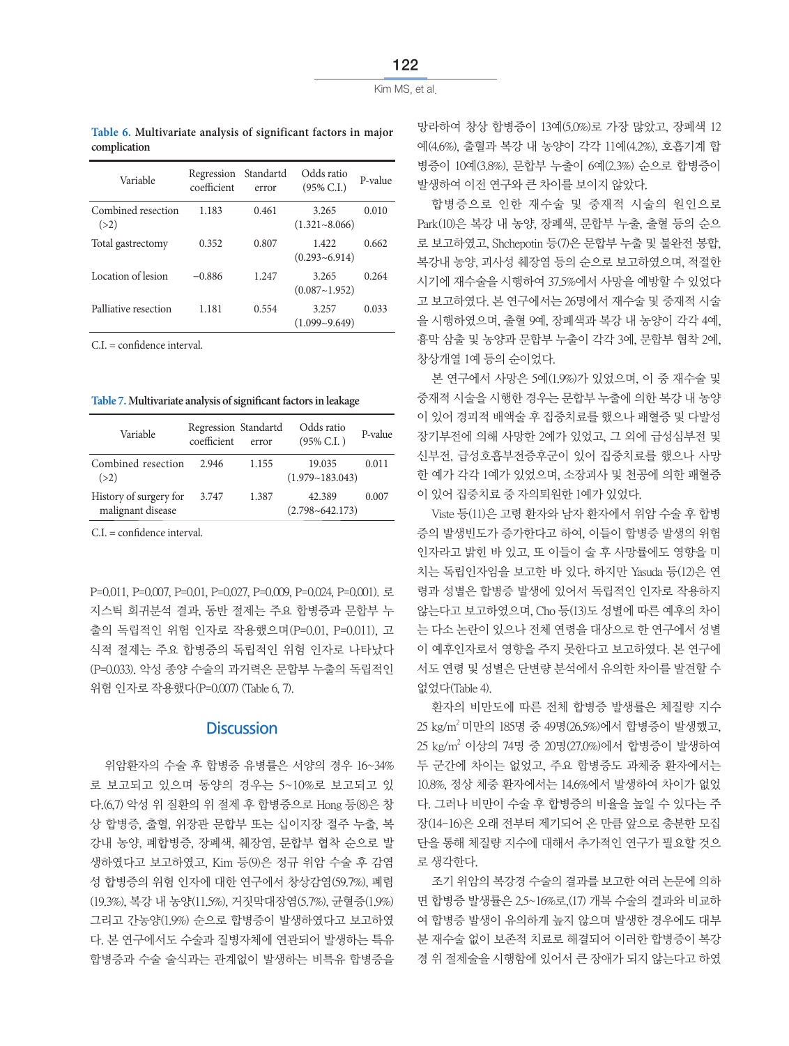**Table 6. Multivariate analysis of significant factors in major complication**

| Variable                   | Regression<br>coefficient | Standartd<br>error | Odds ratio<br>$(95\% \text{ C.I.})$ | P-value |
|----------------------------|---------------------------|--------------------|-------------------------------------|---------|
| Combined resection<br>(>2) | 1.183                     | 0.461              | 3.265<br>$(1.321 - 8.066)$          | 0.010   |
| Total gastrectomy          | 0.352                     | 0.807              | 1.422<br>$(0.293 - 6.914)$          | 0.662   |
| Location of lesion         | $-0.886$                  | 1.247              | 3.265<br>(0.087~1.952)              | 0.264   |
| Palliative resection       | 1.181                     | 0.554              | 3.257<br>$(1.099 - 9.649)$          | 0.033   |

 $C.I. =$  confidence interval.

Table 7. Multivariate analysis of significant factors in leakage

| Variable                                    | Regression Standartd<br>coefficient | error | Odds ratio<br>$(95\%$ C.I.)   | P-value |
|---------------------------------------------|-------------------------------------|-------|-------------------------------|---------|
| Combined resection<br>(>2)                  | 2.946                               | 1.155 | 19.035<br>(1.979~183.043)     | 0.011   |
| History of surgery for<br>malignant disease | 3.747                               | 1.387 | 42.389<br>$(2.798 - 642.173)$ | 0.007   |

 $C.I. =$  confidence interval.

P=0.011, P=0.007, P=0.01, P=0.027, P=0.009, P=0.024, P=0.001). 로 지스틱 회귀분석 결과, 동반 절제는 주요 합병증과 문합부 누 출의 독립적인 위험 인자로 작용했으며(P=0.01, P=0.011), 고 식적 절제는 주요 합병증의 독립적인 위험 인자로 나타났다 (P=0.033). 악성 종양 수술의 과거력은 문합부 누출의 독립적인 위험 인자로 작용했다(P=0.007) (Table 6, 7).

### **Discussion**

위암환자의 수술 후 합병증 유병률은 서양의 경우 16~34% 로 보고되고 있으며 동양의 경우는 5~10%로 보고되고 있 다.(6,7) 악성 위 질환의 위 절제 후 합병증으로 Hong 등(8)은 창 상 합병증, 출혈, 위장관 문합부 또는 십이지장 절주 누출, 복 강내 농양, 폐합병증, 장폐색, 췌장염, 문합부 협착 순으로 발 생하였다고 보고하였고, Kim 등(9)은 정규 위암 수술 후 감염 성 합병증의 위험 인자에 대한 연구에서 창상감염(59.7%), 폐렴 (19.3%), 복강 내 농양(11.5%), 거짓막대장염(5.7%), 균혈증(1.9%) 그리고 간농양(1.9%) 순으로 합병증이 발생하였다고 보고하였 다. 본 연구에서도 수술과 질병자체에 연관되어 발생하는 특유 합병증과 수술 술식과는 관계없이 발생하는 비특유 합병증을

망라하여 창상 합병증이 13예(5.0%)로 가장 많았고, 장폐색 12 예(4.6%), 출혈과 복강 내 농양이 각각 11예(4.2%), 호흡기계 합 병증이 10예(3.8%), 문합부 누출이 6예(2.3%) 순으로 합병증이 발생하여 이전 연구와 큰 차이를 보이지 않았다.

합병증으로 인한 재수술 및 중재적 시술의 원인으로 Park(10)은 복강 내 농양, 장폐색, 문합부 누출, 출혈 등의 순으 로 보고하였고, Shchepotin 등(7)은 문합부 누출 및 불완전 봉합, 복강내 농양, 괴사성 췌장염 등의 순으로 보고하였으며, 적절한 시기에 재수술을 시행하여 37.5%에서 사망을 예방할 수 있었다 고 보고하였다. 본 연구에서는 26명에서 재수술 및 중재적 시술 을 시행하였으며, 출혈 9예, 장폐색과 복강 내 농양이 각각 4예, 흉막 삼출 및 농양과 문합부 누출이 각각 3예, 문합부 협착 2예, 창상개열 1예 등의 순이었다.

본 연구에서 사망은 5예(1.9%)가 있었으며, 이 중 재수술 및 중재적 시술을 시행한 경우는 문합부 누출에 의한 복강 내 농양 이 있어 경피적 배액술 후 집중치료를 했으나 패혈증 및 다발성 장기부전에 의해 사망한 2예가 있었고, 그 외에 급성심부전 및 신부전, 급성호흡부전증후군이 있어 집중치료를 했으나 사망 한 예가 각각 1예가 있었으며, 소장괴사 및 천공에 의한 패혈증 이 있어 집중치료 중 자의퇴원한 1예가 있었다.

Viste 등(11)은 고령 환자와 남자 환자에서 위암 수술 후 합병 증의 발생빈도가 증가한다고 하여, 이들이 합병증 발생의 위험 인자라고 밝힌 바 있고, 또 이들이 술 후 사망률에도 영향을 미 치는 독립인자임을 보고한 바 있다. 하지만 Yasuda 등(12)은 연 령과 성별은 합병증 발생에 있어서 독립적인 인자로 작용하지 않는다고 보고하였으며, Cho 등(13)도 성별에 따른 예후의 차이 는 다소 논란이 있으나 전체 연령을 대상으로 한 연구에서 성별 이 예후인자로서 영향을 주지 못한다고 보고하였다. 본 연구에 서도 연령 및 성별은 단변량 분석에서 유의한 차이를 발견할 수 없었다(Table 4).

환자의 비만도에 따른 전체 합병증 발생률은 체질량 지수 25 kg/m2 미만의 185명 중 49명(26.5%)에서 합병증이 발생했고, 25 kg/m² 이상의 74명 중 20명(27.0%)에서 합병증이 발생하여 두 군간에 차이는 없었고, 주요 합병증도 과체중 환자에서는 10.8%, 정상 체중 환자에서는 14.6%에서 발생하여 차이가 없었 다. 그러나 비만이 수술 후 합병증의 비율을 높일 수 있다는 주 장(14-16)은 오래 전부터 제기되어 온 만큼 앞으로 충분한 모집 단을 통해 체질량 지수에 대해서 추가적인 연구가 필요할 것으 로 생각한다.

조기 위암의 복강경 수술의 결과를 보고한 여러 논문에 의하 면 합병증 발생률은 2.5~16%로,(17) 개복 수술의 결과와 비교하 여 합병증 발생이 유의하게 높지 않으며 발생한 경우에도 대부 분 재수술 없이 보존적 치료로 해결되어 이러한 합병증이 복강 경 위 절제술을 시행함에 있어서 큰 장애가 되지 않는다고 하였

Kim MS, et al.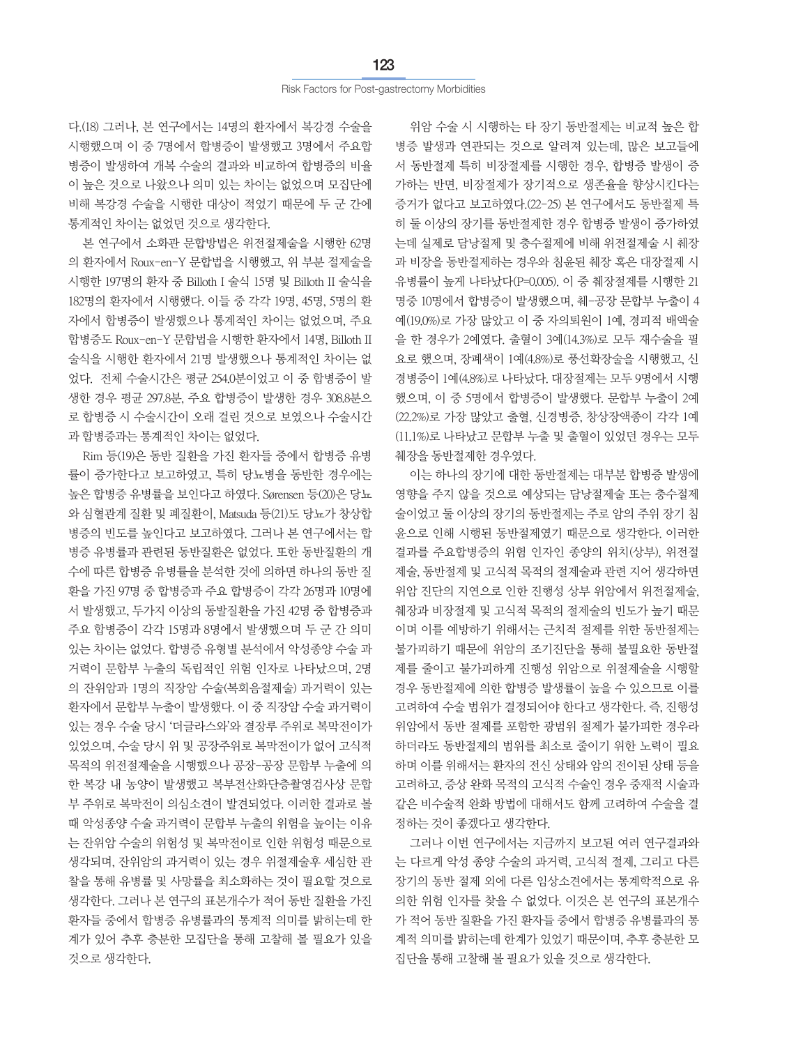다.(18) 그러나, 본 연구에서는 14명의 환자에서 복강경 수술을 시행했으며 이 중 7명에서 합병증이 발생했고 3명에서 주요합 병증이 발생하여 개복 수술의 결과와 비교하여 합병증의 비율 이 높은 것으로 나왔으나 의미 있는 차이는 없었으며 모집단에 비해 복강경 수술을 시행한 대상이 적었기 때문에 두 군 간에 통계적인 차이는 없었던 것으로 생각한다.

본 연구에서 소화관 문합방법은 위전절제술을 시행한 62명 의 환자에서 Roux-en-Y 문합법을 시행했고, 위 부분 절제술을 시행한 197명의 환자 중 Billoth I 술식 15명 및 Billoth II 술식을 182명의 환자에서 시행했다. 이들 중 각각 19명, 45명, 5명의 환 자에서 합병증이 발생했으나 통계적인 차이는 없었으며, 주요 합병증도 Roux-en-Y 문합법을 시행한 환자에서 14명, Billoth II 술식을 시행한 환자에서 21명 발생했으나 통계적인 차이는 없 었다. 전체 수술시간은 평균 254.0분이었고 이 중 합병증이 발 생한 경우 평균 297.8분, 주요 합병증이 발생한 경우 308.8분으 로 합병증 시 수술시간이 오래 걸린 것으로 보였으나 수술시간 과 합병증과는 통계적인 차이는 없었다.

Rim 등(19)은 동반 질환을 가진 환자들 중에서 합병증 유병 률이 증가한다고 보고하였고, 특히 당뇨병을 동반한 경우에는 높은 합병증 유병률을 보인다고 하였다. Sørensen 등(20)은 당뇨 와 심혈관계 질환 및 폐질환이, Matsuda 등(21)도 당뇨가 창상합 병증의 빈도를 높인다고 보고하였다. 그러나 본 연구에서는 합 병증 유병률과 관련된 동반질환은 없었다. 또한 동반질환의 개 수에 따른 합병증 유병률을 분석한 것에 의하면 하나의 동반 질 환을 가진 97명 중 합병증과 주요 합병증이 각각 26명과 10명에 서 발생했고, 두가지 이상의 동발질환을 가진 42명 중 합병증과 주요 합병증이 각각 15명과 8명에서 발생했으며 두 군 간 의미 있는 차이는 없었다. 합병증 유형별 분석에서 악성종양 수술 과 거력이 문합부 누출의 독립적인 위험 인자로 나타났으며, 2명 의 잔위암과 1명의 직장암 수술(복회음절제술) 과거력이 있는 환자에서 문합부 누출이 발생했다. 이 중 직장암 수술 과거력이 있는 경우 수술 당시 '더글라스와'와 결장루 주위로 복막전이가 있었으며, 수술 당시 위 및 공장주위로 복막전이가 없어 고식적 목적의 위전절제술을 시행했으나 공장-공장 문합부 누출에 의 한 복강 내 농양이 발생했고 복부전산화단층촬영검사상 문합 부 주위로 복막전이 의심소견이 발견되었다. 이러한 결과로 볼 때 악성종양 수술 과거력이 문합부 누출의 위험을 높이는 이유 는 잔위암 수술의 위험성 및 복막전이로 인한 위험성 때문으로 생각되며, 잔위암의 과거력이 있는 경우 위절제술후 세심한 관 찰을 통해 유병률 및 사망률을 최소화하는 것이 필요할 것으로 생각한다. 그러나 본 연구의 표본개수가 적어 동반 질환을 가진 환자들 중에서 합병증 유병률과의 통계적 의미를 밝히는데 한 계가 있어 추후 충분한 모집단을 통해 고찰해 볼 필요가 있을 것으로 생각한다.

위암 수술 시 시행하는 타 장기 동반절제는 비교적 높은 합 병증 발생과 연관되는 것으로 알려져 있는데, 많은 보고들에 서 동반절제 특히 비장절제를 시행한 경우, 합병증 발생이 증 가하는 반면, 비장절제가 장기적으로 생존율을 향상시킨다는 증거가 없다고 보고하였다.(22-25) 본 연구에서도 동반절제 특 히 둘 이상의 장기를 동반절제한 경우 합병증 발생이 증가하였 는데 실제로 담낭절제 및 충수절제에 비해 위전절제술 시 췌장 과 비장을 동반절제하는 경우와 침윤된 췌장 혹은 대장절제 시 유병률이 높게 나타났다(P=0.005). 이 중 췌장절제를 시행한 21 명중 10명에서 합병증이 발생했으며, 췌-공장 문합부 누출이 4 예(19.0%)로 가장 많았고 이 중 자의퇴원이 1예, 경피적 배액술 을 한 경우가 2예였다. 출혈이 3예(14.3%)로 모두 재수술을 필 요로 했으며, 장폐색이 1예(4.8%)로 풍선확장술을 시행했고, 신 경병증이 1예(4.8%)로 나타났다. 대장절제는 모두 9명에서 시행 했으며, 이 중 5명에서 합병증이 발생했다. 문합부 누출이 2예 (22.2%)로 가장 많았고 출혈, 신경병증, 창상장액종이 각각 1예 (11.1%)로 나타났고 문합부 누출 및 출혈이 있었던 경우는 모두 췌장을 동반절제한 경우였다.

이는 하나의 장기에 대한 동반절제는 대부분 합병증 발생에 영향을 주지 않을 것으로 예상되는 담낭절제술 또는 충수절제 술이었고 둘 이상의 장기의 동반절제는 주로 암의 주위 장기 침 윤으로 인해 시행된 동반절제였기 때문으로 생각한다. 이러한 결과를 주요합병증의 위험 인자인 종양의 위치(상부), 위전절 제술, 동반절제 및 고식적 목적의 절제술과 관련 지어 생각하면 위암 진단의 지연으로 인한 진행성 상부 위암에서 위전절제술, 췌장과 비장절제 및 고식적 목적의 절제술의 빈도가 높기 때문 이며 이를 예방하기 위해서는 근치적 절제를 위한 동반절제는 불가피하기 때문에 위암의 조기진단을 통해 불필요한 동반절 제를 줄이고 불가피하게 진행성 위암으로 위절제술을 시행할 경우 동반절제에 의한 합병증 발생률이 높을 수 있으므로 이를 고려하여 수술 범위가 결정되어야 한다고 생각한다. 즉, 진행성 위암에서 동반 절제를 포함한 광범위 절제가 불가피한 경우라 하더라도 동반절제의 범위를 최소로 줄이기 위한 노력이 필요 하며 이를 위해서는 환자의 전신 상태와 암의 전이된 상태 등을 고려하고, 증상 완화 목적의 고식적 수술인 경우 중재적 시술과 같은 비수술적 완화 방법에 대해서도 함께 고려하여 수술을 결 정하는 것이 좋겠다고 생각한다.

그러나 이번 연구에서는 지금까지 보고된 여러 연구결과와 는 다르게 악성 종양 수술의 과거력, 고식적 절제, 그리고 다른 장기의 동반 절제 외에 다른 임상소견에서는 통계학적으로 유 의한 위험 인자를 찾을 수 없었다. 이것은 본 연구의 표본개수 가 적어 동반 질환을 가진 환자들 중에서 합병증 유병률과의 통 계적 의미를 밝히는데 한계가 있었기 때문이며, 추후 충분한 모 집단을 통해 고찰해 볼 필요가 있을 것으로 생각한다.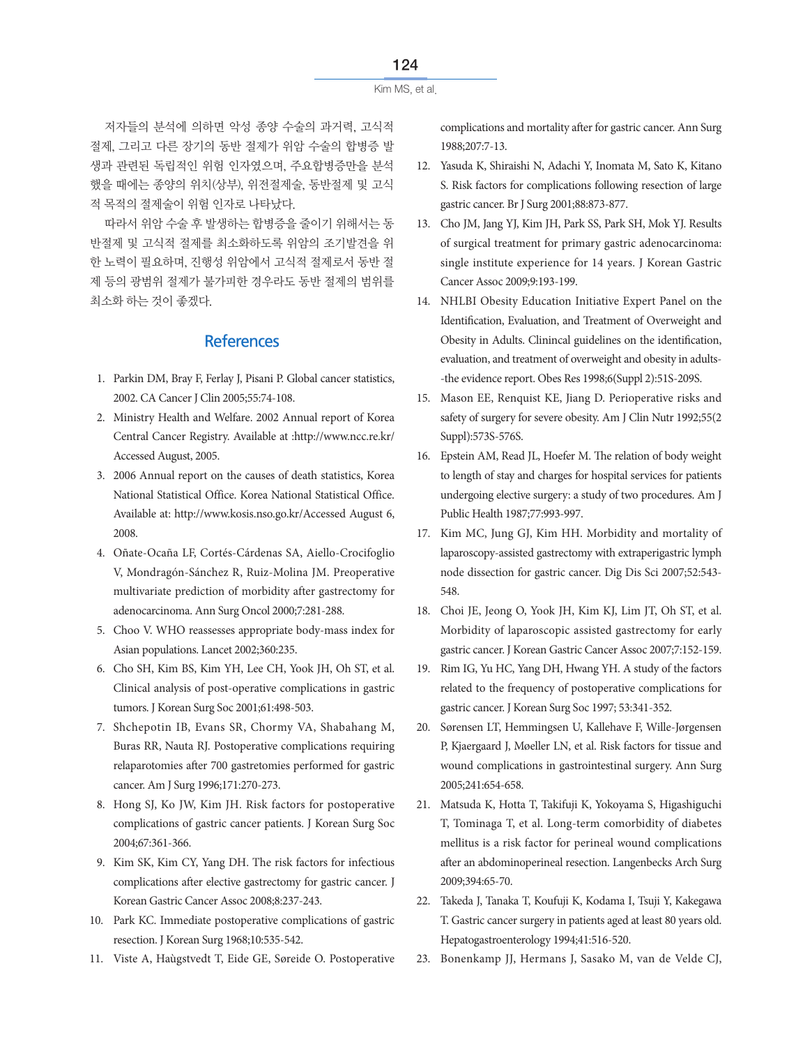```
Kim MS, et al.
```
저자들의 분석에 의하면 악성 종양 수술의 과거력, 고식적 절제, 그리고 다른 장기의 동반 절제가 위암 수술의 합병증 발 생과 관련된 독립적인 위험 인자였으며, 주요합병증만을 분석 했을 때에는 종양의 위치(상부), 위전절제술, 동반절제 및 고식 적 목적의 절제술이 위험 인자로 나타났다.

따라서 위암 수술 후 발생하는 합병증을 줄이기 위해서는 동 반절제 및 고식적 절제를 최소화하도록 위암의 조기발견을 위 한 노력이 필요하며, 진행성 위암에서 고식적 절제로서 동반 절 제 등의 광범위 절제가 불가피한 경우라도 동반 절제의 범위를 최소화 하는 것이 좋겠다.

## **References**

- 1. Parkin DM, Bray F, Ferlay J, Pisani P. Global cancer statistics, 2002. CA Cancer J Clin 2005;55:74-108.
- 2. Ministry Health and Welfare. 2002 Annual report of Korea Central Cancer Registry. Available at :http://www.ncc.re.kr/ Accessed August, 2005.
- 3. 2006 Annual report on the causes of death statistics, Korea National Statistical Office. Korea National Statistical Office. Available at: http://www.kosis.nso.go.kr/Accessed August 6, 2008.
- 4. Oñate-Ocaña LF, Cortés-Cárdenas SA, Aiello-Crocifoglio V, Mondragón-Sánchez R, Ruiz-Molina JM. Preoperative multivariate prediction of morbidity after gastrectomy for adenocarcinoma. Ann Surg Oncol 2000;7:281-288.
- 5. Choo V. WHO reassesses appropriate body-mass index for Asian populations. Lancet 2002;360:235.
- 6. Cho SH, Kim BS, Kim YH, Lee CH, Yook JH, Oh ST, et al. Clinical analysis of post-operative complications in gastric tumors. J Korean Surg Soc 2001;61:498-503.
- 7. Shchepotin IB, Evans SR, Chormy VA, Shabahang M, Buras RR, Nauta RJ. Postoperative complications requiring relaparotomies after 700 gastretomies performed for gastric cancer. Am J Surg 1996;171:270-273.
- 8. Hong SJ, Ko JW, Kim JH. Risk factors for postoperative complications of gastric cancer patients. J Korean Surg Soc 2004;67:361-366.
- 9. Kim SK, Kim CY, Yang DH. The risk factors for infectious complications after elective gastrectomy for gastric cancer. J Korean Gastric Cancer Assoc 2008;8:237-243.
- 10. Park KC. Immediate postoperative complications of gastric resection. J Korean Surg 1968;10:535-542.
- 11. Viste A, Haùgstvedt T, Eide GE, Søreide O. Postoperative

complications and mortality after for gastric cancer. Ann Surg 1988;207:7-13.

- 12. Yasuda K, Shiraishi N, Adachi Y, Inomata M, Sato K, Kitano S. Risk factors for complications following resection of large gastric cancer. Br J Surg 2001;88:873-877.
- 13. Cho JM, Jang YJ, Kim JH, Park SS, Park SH, Mok YJ. Results of surgical treatment for primary gastric adenocarcinoma: single institute experience for 14 years. J Korean Gastric Cancer Assoc 2009;9:193-199.
- 14. NHLBI Obesity Education Initiative Expert Panel on the Identification, Evaluation, and Treatment of Overweight and Obesity in Adults. Clinincal guidelines on the identification, evaluation, and treatment of overweight and obesity in adults- -the evidence report. Obes Res 1998;6(Suppl 2):51S-209S.
- 15. Mason EE, Renquist KE, Jiang D. Perioperative risks and safety of surgery for severe obesity. Am J Clin Nutr 1992;55(2 Suppl):573S-576S.
- 16. Epstein AM, Read JL, Hoefer M. The relation of body weight to length of stay and charges for hospital services for patients undergoing elective surgery: a study of two procedures. Am J Public Health 1987;77:993-997.
- 17. Kim MC, Jung GJ, Kim HH. Morbidity and mortality of laparoscopy-assisted gastrectomy with extraperigastric lymph node dissection for gastric cancer. Dig Dis Sci 2007;52:543- 548.
- 18. Choi JE, Jeong O, Yook JH, Kim KJ, Lim JT, Oh ST, et al. Morbidity of laparoscopic assisted gastrectomy for early gastric cancer. J Korean Gastric Cancer Assoc 2007;7:152-159.
- 19. Rim IG, Yu HC, Yang DH, Hwang YH. A study of the factors related to the frequency of postoperative complications for gastric cancer. J Korean Surg Soc 1997; 53:341-352.
- 20. Sørensen LT, Hemmingsen U, Kallehave F, Wille-Jørgensen P, Kjaergaard J, Møeller LN, et al. Risk factors for tissue and wound complications in gastrointestinal surgery. Ann Surg 2005;241:654-658.
- 21. Matsuda K, Hotta T, Takifuji K, Yokoyama S, Higashiguchi T, Tominaga T, et al. Long-term comorbidity of diabetes mellitus is a risk factor for perineal wound complications after an abdominoperineal resection. Langenbecks Arch Surg 2009;394:65-70.
- 22. Takeda J, Tanaka T, Koufuji K, Kodama I, Tsuji Y, Kakegawa T. Gastric cancer surgery in patients aged at least 80 years old. Hepatogastroenterology 1994;41:516-520.
- 23. Bonenkamp JJ, Hermans J, Sasako M, van de Velde CJ,